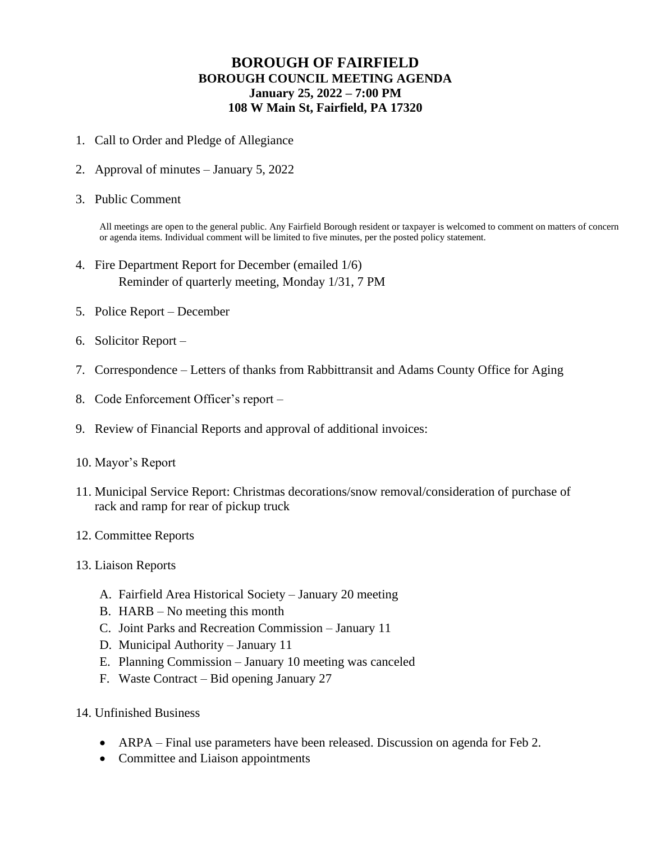## **BOROUGH OF FAIRFIELD BOROUGH COUNCIL MEETING AGENDA January 25, 2022 – 7:00 PM 108 W Main St, Fairfield, PA 17320**

- 1. Call to Order and Pledge of Allegiance
- 2. Approval of minutes January 5, 2022
- 3. Public Comment

All meetings are open to the general public. Any Fairfield Borough resident or taxpayer is welcomed to comment on matters of concern or agenda items. Individual comment will be limited to five minutes, per the posted policy statement.

- 4. Fire Department Report for December (emailed 1/6) Reminder of quarterly meeting, Monday 1/31, 7 PM
- 5. Police Report December
- 6. Solicitor Report –
- 7. Correspondence Letters of thanks from Rabbittransit and Adams County Office for Aging
- 8. Code Enforcement Officer's report –
- 9. Review of Financial Reports and approval of additional invoices:
- 10. Mayor's Report
- 11. Municipal Service Report: Christmas decorations/snow removal/consideration of purchase of rack and ramp for rear of pickup truck
- 12. Committee Reports
- 13. Liaison Reports
	- A. Fairfield Area Historical Society January 20 meeting
	- B. HARB No meeting this month
	- C. Joint Parks and Recreation Commission January 11
	- D. Municipal Authority January 11
	- E. Planning Commission January 10 meeting was canceled
	- F. Waste Contract Bid opening January 27
- 14. Unfinished Business
	- ARPA Final use parameters have been released. Discussion on agenda for Feb 2.
	- Committee and Liaison appointments